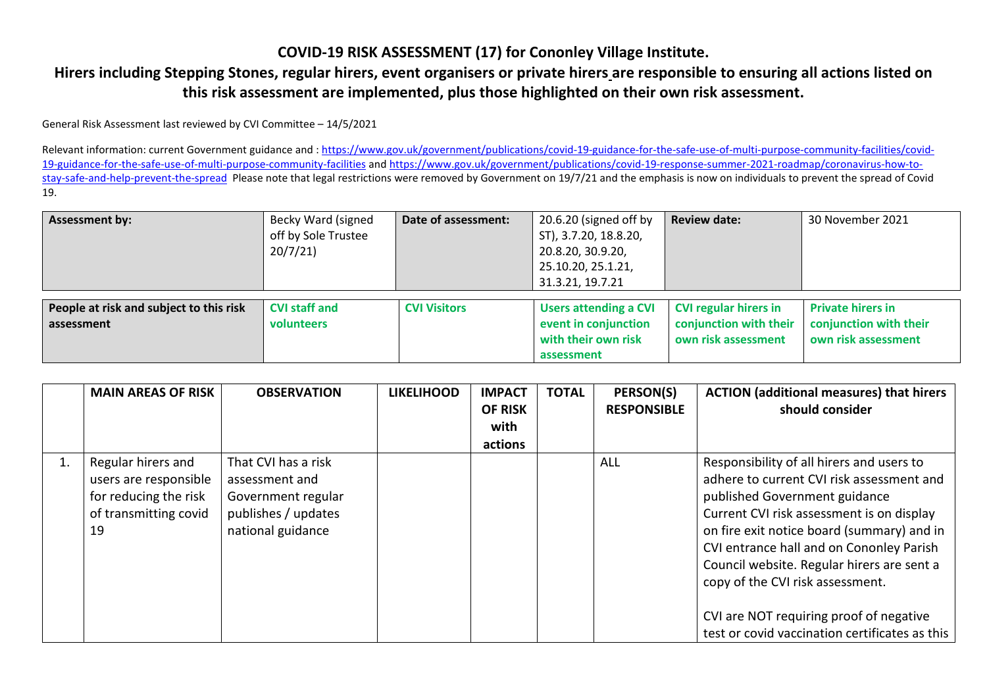## **COVID-19 RISK ASSESSMENT (17) for Cononley Village Institute.**

## **Hirers including Stepping Stones, regular hirers, event organisers or private hirers are responsible to ensuring all actions listed on this risk assessment are implemented, plus those highlighted on their own risk assessment.**

General Risk Assessment last reviewed by CVI Committee – 14/5/2021

Relevant information: current Government guidance and[: https://www.gov.uk/government/publications/covid-19-guidance-for-the-safe-use-of-multi-purpose-community-facilities/covid-](https://www.gov.uk/government/publications/covid-19-guidance-for-the-safe-use-of-multi-purpose-community-facilities/covid-19-guidance-for-the-safe-use-of-multi-purpose-community-facilities)[19-guidance-for-the-safe-use-of-multi-purpose-community-facilities](https://www.gov.uk/government/publications/covid-19-guidance-for-the-safe-use-of-multi-purpose-community-facilities/covid-19-guidance-for-the-safe-use-of-multi-purpose-community-facilities) and [https://www.gov.uk/government/publications/covid-19-response-summer-2021-roadmap/coronavirus-how-to](https://www.gov.uk/government/publications/covid-19-response-summer-2021-roadmap/coronavirus-how-to-stay-safe-and-help-prevent-the-spread)[stay-safe-and-help-prevent-the-spread](https://www.gov.uk/government/publications/covid-19-response-summer-2021-roadmap/coronavirus-how-to-stay-safe-and-help-prevent-the-spread) Please note that legal restrictions were removed by Government on 19/7/21 and the emphasis is now on individuals to prevent the spread of Covid 19.

| <b>Assessment by:</b>                   | Becky Ward (signed   | Date of assessment: | 20.6.20 (signed off by       | <b>Review date:</b>          | 30 November 2021         |
|-----------------------------------------|----------------------|---------------------|------------------------------|------------------------------|--------------------------|
|                                         | off by Sole Trustee  |                     | ST), 3.7.20, 18.8.20,        |                              |                          |
|                                         | 20/7/21              |                     | 20.8.20, 30.9.20,            |                              |                          |
|                                         |                      |                     | 25.10.20, 25.1.21,           |                              |                          |
|                                         |                      |                     | 31.3.21, 19.7.21             |                              |                          |
|                                         |                      |                     |                              |                              |                          |
| People at risk and subject to this risk | <b>CVI staff and</b> | <b>CVI Visitors</b> | <b>Users attending a CVI</b> | <b>CVI regular hirers in</b> | <b>Private hirers in</b> |
| assessment                              | volunteers           |                     | event in conjunction         | conjunction with their       | conjunction with their   |
|                                         |                      |                     | with their own risk          | own risk assessment          | own risk assessment      |
|                                         |                      |                     | assessment                   |                              |                          |

|    | <b>MAIN AREAS OF RISK</b>                                                                           | <b>OBSERVATION</b>                                                                                      | <b>LIKELIHOOD</b> | <b>IMPACT</b><br><b>OF RISK</b><br>with<br>actions | <b>TOTAL</b> | PERSON(S)<br><b>RESPONSIBLE</b> | <b>ACTION</b> (additional measures) that hirers<br>should consider                                                                                                                                                                                                                                                                                                                                                                            |
|----|-----------------------------------------------------------------------------------------------------|---------------------------------------------------------------------------------------------------------|-------------------|----------------------------------------------------|--------------|---------------------------------|-----------------------------------------------------------------------------------------------------------------------------------------------------------------------------------------------------------------------------------------------------------------------------------------------------------------------------------------------------------------------------------------------------------------------------------------------|
| 1. | Regular hirers and<br>users are responsible<br>for reducing the risk<br>of transmitting covid<br>19 | That CVI has a risk<br>assessment and<br>Government regular<br>publishes / updates<br>national guidance |                   |                                                    |              | ALL                             | Responsibility of all hirers and users to<br>adhere to current CVI risk assessment and<br>published Government guidance<br>Current CVI risk assessment is on display<br>on fire exit notice board (summary) and in<br>CVI entrance hall and on Cononley Parish<br>Council website. Regular hirers are sent a<br>copy of the CVI risk assessment.<br>CVI are NOT requiring proof of negative<br>test or covid vaccination certificates as this |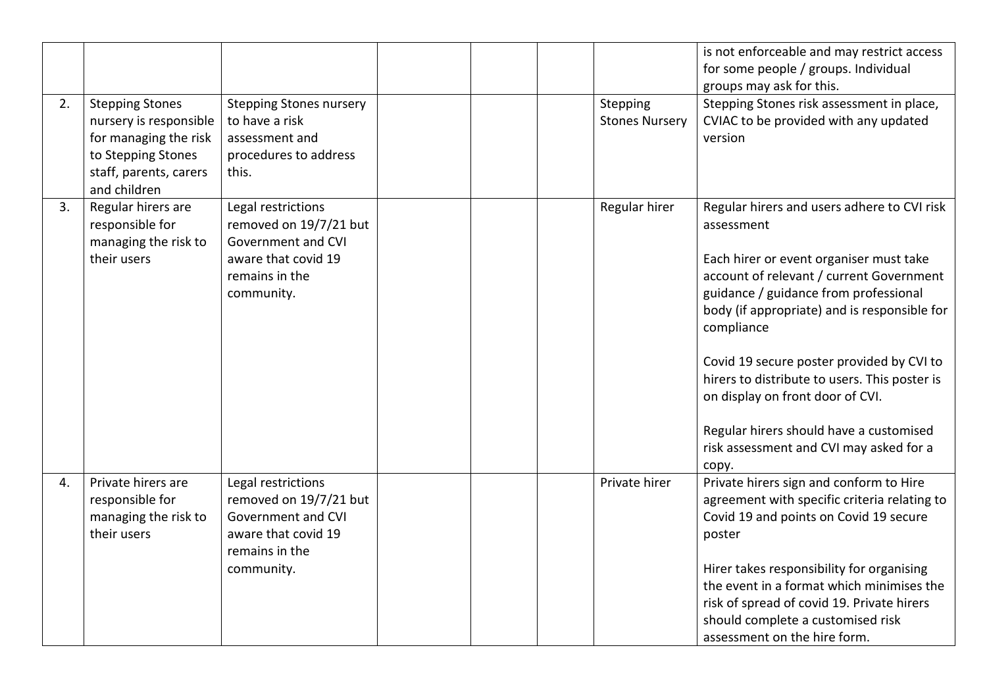| 2. | <b>Stepping Stones</b><br>nursery is responsible                                      | <b>Stepping Stones nursery</b><br>to have a risk                                                                          |  | Stepping<br><b>Stones Nursery</b> | is not enforceable and may restrict access<br>for some people / groups. Individual<br>groups may ask for this.<br>Stepping Stones risk assessment in place,<br>CVIAC to be provided with any updated                                                                                                                                                                                                                                                                                     |
|----|---------------------------------------------------------------------------------------|---------------------------------------------------------------------------------------------------------------------------|--|-----------------------------------|------------------------------------------------------------------------------------------------------------------------------------------------------------------------------------------------------------------------------------------------------------------------------------------------------------------------------------------------------------------------------------------------------------------------------------------------------------------------------------------|
|    | for managing the risk<br>to Stepping Stones<br>staff, parents, carers<br>and children | assessment and<br>procedures to address<br>this.                                                                          |  |                                   | version                                                                                                                                                                                                                                                                                                                                                                                                                                                                                  |
| 3. | Regular hirers are<br>responsible for<br>managing the risk to<br>their users          | Legal restrictions<br>removed on 19/7/21 but<br>Government and CVI<br>aware that covid 19<br>remains in the<br>community. |  | Regular hirer                     | Regular hirers and users adhere to CVI risk<br>assessment<br>Each hirer or event organiser must take<br>account of relevant / current Government<br>guidance / guidance from professional<br>body (if appropriate) and is responsible for<br>compliance<br>Covid 19 secure poster provided by CVI to<br>hirers to distribute to users. This poster is<br>on display on front door of CVI.<br>Regular hirers should have a customised<br>risk assessment and CVI may asked for a<br>copy. |
| 4. | Private hirers are<br>responsible for<br>managing the risk to<br>their users          | Legal restrictions<br>removed on 19/7/21 but<br>Government and CVI<br>aware that covid 19<br>remains in the<br>community. |  | Private hirer                     | Private hirers sign and conform to Hire<br>agreement with specific criteria relating to<br>Covid 19 and points on Covid 19 secure<br>poster<br>Hirer takes responsibility for organising<br>the event in a format which minimises the<br>risk of spread of covid 19. Private hirers<br>should complete a customised risk<br>assessment on the hire form.                                                                                                                                 |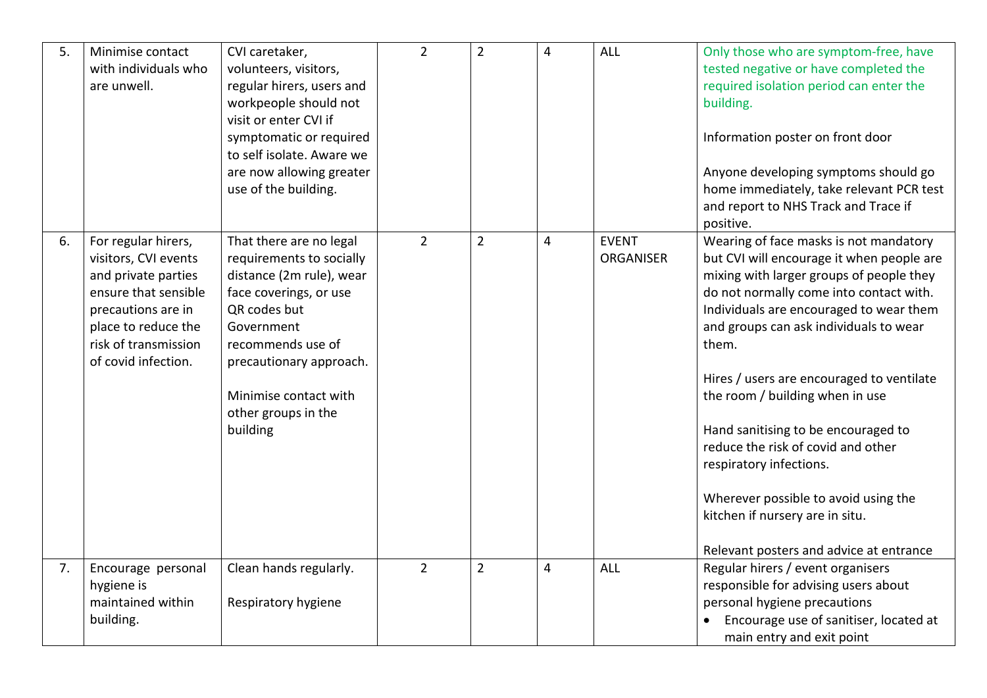| 5. | Minimise contact<br>with individuals who<br>are unwell.                                                                                                                                | CVI caretaker,<br>volunteers, visitors,<br>regular hirers, users and<br>workpeople should not<br>visit or enter CVI if<br>symptomatic or required<br>to self isolate. Aware we<br>are now allowing greater<br>use of the building.                  | $\overline{2}$ | $\overline{2}$ | $\overline{4}$ | <b>ALL</b>                       | Only those who are symptom-free, have<br>tested negative or have completed the<br>required isolation period can enter the<br>building.<br>Information poster on front door<br>Anyone developing symptoms should go<br>home immediately, take relevant PCR test<br>and report to NHS Track and Trace if<br>positive.                                                                                                                                                                                                                                                                    |
|----|----------------------------------------------------------------------------------------------------------------------------------------------------------------------------------------|-----------------------------------------------------------------------------------------------------------------------------------------------------------------------------------------------------------------------------------------------------|----------------|----------------|----------------|----------------------------------|----------------------------------------------------------------------------------------------------------------------------------------------------------------------------------------------------------------------------------------------------------------------------------------------------------------------------------------------------------------------------------------------------------------------------------------------------------------------------------------------------------------------------------------------------------------------------------------|
| 6. | For regular hirers,<br>visitors, CVI events<br>and private parties<br>ensure that sensible<br>precautions are in<br>place to reduce the<br>risk of transmission<br>of covid infection. | That there are no legal<br>requirements to socially<br>distance (2m rule), wear<br>face coverings, or use<br>QR codes but<br>Government<br>recommends use of<br>precautionary approach.<br>Minimise contact with<br>other groups in the<br>building | $\overline{2}$ | $\overline{2}$ | $\overline{4}$ | <b>EVENT</b><br><b>ORGANISER</b> | Wearing of face masks is not mandatory<br>but CVI will encourage it when people are<br>mixing with larger groups of people they<br>do not normally come into contact with.<br>Individuals are encouraged to wear them<br>and groups can ask individuals to wear<br>them.<br>Hires / users are encouraged to ventilate<br>the room / building when in use<br>Hand sanitising to be encouraged to<br>reduce the risk of covid and other<br>respiratory infections.<br>Wherever possible to avoid using the<br>kitchen if nursery are in situ.<br>Relevant posters and advice at entrance |
| 7. | Encourage personal<br>hygiene is<br>maintained within<br>building.                                                                                                                     | Clean hands regularly.<br>Respiratory hygiene                                                                                                                                                                                                       | $\overline{2}$ | $\overline{2}$ | 4              | <b>ALL</b>                       | Regular hirers / event organisers<br>responsible for advising users about<br>personal hygiene precautions<br>Encourage use of sanitiser, located at<br>main entry and exit point                                                                                                                                                                                                                                                                                                                                                                                                       |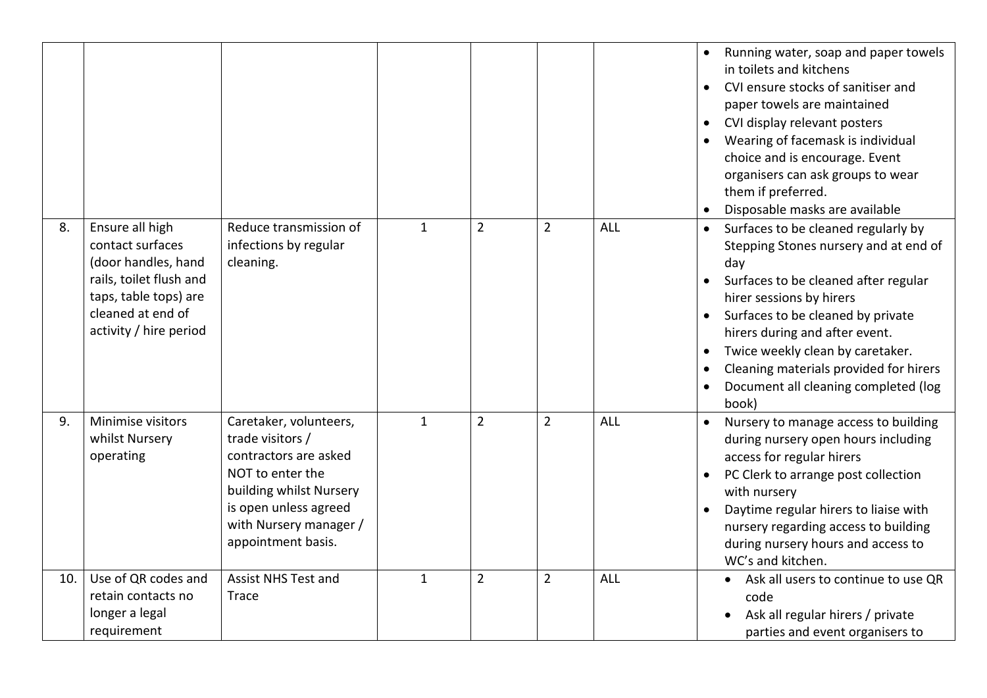|     |                                                                                                                                                               |                                                                                                                                                                                             |              |                |                |            | Running water, soap and paper towels<br>$\bullet$<br>in toilets and kitchens<br>CVI ensure stocks of sanitiser and<br>$\bullet$<br>paper towels are maintained<br>CVI display relevant posters<br>$\bullet$<br>Wearing of facemask is individual<br>choice and is encourage. Event<br>organisers can ask groups to wear<br>them if preferred.<br>Disposable masks are available |
|-----|---------------------------------------------------------------------------------------------------------------------------------------------------------------|---------------------------------------------------------------------------------------------------------------------------------------------------------------------------------------------|--------------|----------------|----------------|------------|---------------------------------------------------------------------------------------------------------------------------------------------------------------------------------------------------------------------------------------------------------------------------------------------------------------------------------------------------------------------------------|
| 8.  | Ensure all high<br>contact surfaces<br>(door handles, hand<br>rails, toilet flush and<br>taps, table tops) are<br>cleaned at end of<br>activity / hire period | Reduce transmission of<br>infections by regular<br>cleaning.                                                                                                                                | $\mathbf{1}$ | $\overline{2}$ | $\overline{2}$ | <b>ALL</b> | Surfaces to be cleaned regularly by<br>$\bullet$<br>Stepping Stones nursery and at end of<br>day<br>Surfaces to be cleaned after regular<br>hirer sessions by hirers<br>Surfaces to be cleaned by private<br>hirers during and after event.<br>Twice weekly clean by caretaker.<br>Cleaning materials provided for hirers<br>Document all cleaning completed (log<br>book)      |
| 9.  | Minimise visitors<br>whilst Nursery<br>operating                                                                                                              | Caretaker, volunteers,<br>trade visitors /<br>contractors are asked<br>NOT to enter the<br>building whilst Nursery<br>is open unless agreed<br>with Nursery manager /<br>appointment basis. | $\mathbf{1}$ | $\overline{2}$ | $\overline{2}$ | <b>ALL</b> | Nursery to manage access to building<br>$\bullet$<br>during nursery open hours including<br>access for regular hirers<br>PC Clerk to arrange post collection<br>with nursery<br>Daytime regular hirers to liaise with<br>$\bullet$<br>nursery regarding access to building<br>during nursery hours and access to<br>WC's and kitchen.                                           |
| 10. | Use of QR codes and<br>retain contacts no<br>longer a legal<br>requirement                                                                                    | <b>Assist NHS Test and</b><br><b>Trace</b>                                                                                                                                                  | $\mathbf{1}$ | $\overline{2}$ | $\overline{2}$ | ALL        | • Ask all users to continue to use QR<br>code<br>Ask all regular hirers / private<br>parties and event organisers to                                                                                                                                                                                                                                                            |